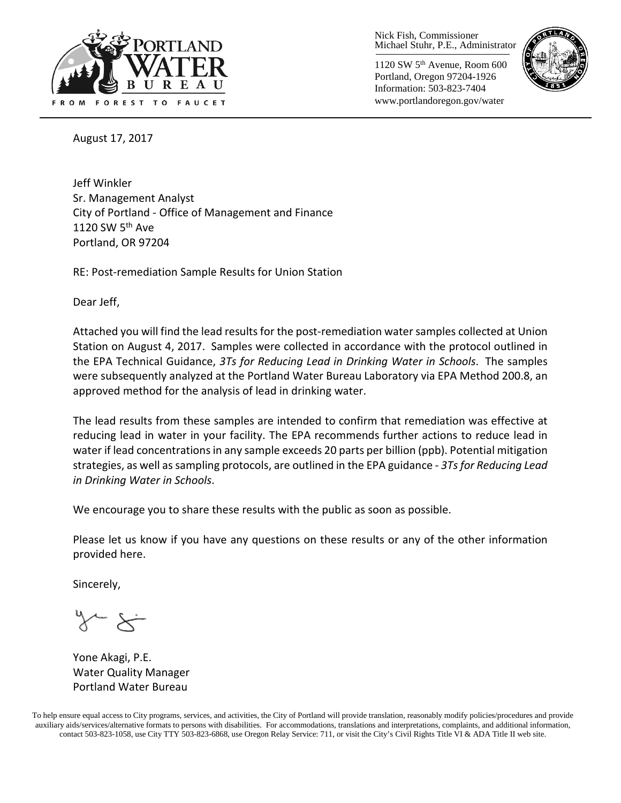

Nick Fish, Commissioner Michael Stuhr, P.E., Administrator

1120 SW 5th Avenue, Room 600 Portland, Oregon 97204-1926 Information: 503-823-7404 www.portlandoregon.gov/water



August 17, 2017

Jeff Winkler Sr. Management Analyst City of Portland - Office of Management and Finance 1120 SW 5th Ave Portland, OR 97204

RE: Post-remediation Sample Results for Union Station

Dear Jeff,

Attached you will find the lead results for the post-remediation water samples collected at Union Station on August 4, 2017. Samples were collected in accordance with the protocol outlined in the EPA Technical Guidance, *3Ts for Reducing Lead in Drinking Water in Schools*. The samples were subsequently analyzed at the Portland Water Bureau Laboratory via EPA Method 200.8, an approved method for the analysis of lead in drinking water.

The lead results from these samples are intended to confirm that remediation was effective at reducing lead in water in your facility. The EPA recommends further actions to reduce lead in water if lead concentrations in any sample exceeds 20 parts per billion (ppb). Potential mitigation strategies, as well as sampling protocols, are outlined in the EPA guidance - *3Ts for Reducing Lead in Drinking Water in Schools*.

We encourage you to share these results with the public as soon as possible.

Please let us know if you have any questions on these results or any of the other information provided here.

Sincerely,

Yone Akagi, P.E. Water Quality Manager Portland Water Bureau

To help ensure equal access to City programs, services, and activities, the City of Portland will provide translation, reasonably modify policies/procedures and provide auxiliary aids/services/alternative formats to persons with disabilities. For accommodations, translations and interpretations, complaints, and additional information, contact 503-823-1058, use City TTY 503-823-6868, use Oregon Relay Service: 711, or visi[t the City's Civil Rights Title VI & ADA Title II web site.](http://www.portlandoregon.gov/oehr/66458)